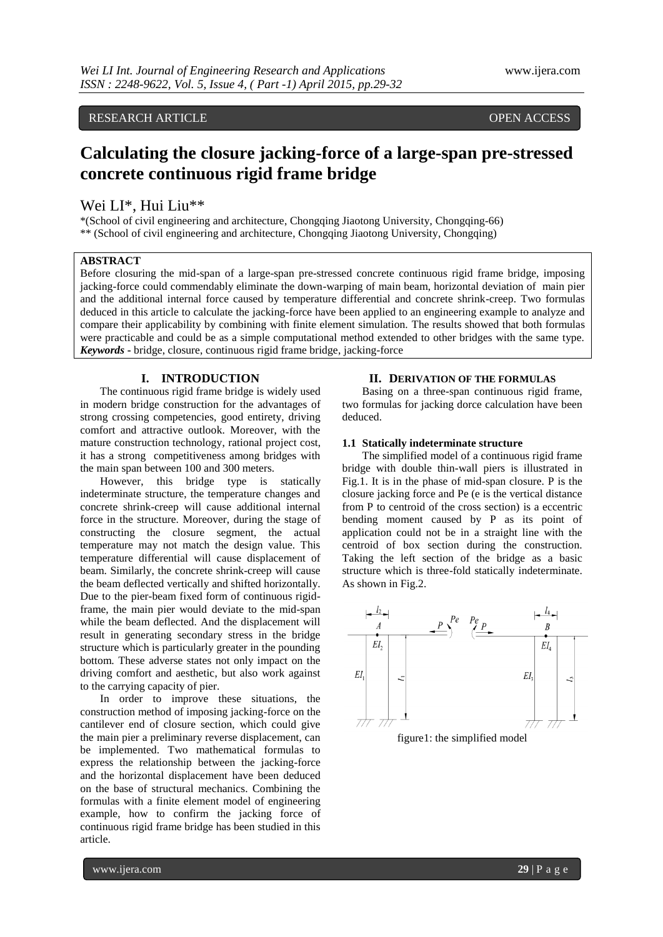# RESEARCH ARTICLE **OPEN ACCESS**

# **Calculating the closure jacking-force of a large-span pre-stressed concrete continuous rigid frame bridge**

## Wei LI\*, Hui Liu\*\*

\*(School of civil engineering and architecture, Chongqing Jiaotong University, Chongqing-66) \*\* (School of civil engineering and architecture, Chongqing Jiaotong University, Chongqing)

#### **ABSTRACT**

Before closuring the mid-span of a large-span pre-stressed concrete continuous rigid frame bridge, imposing jacking-force could commendably eliminate the down-warping of main beam, horizontal deviation of main pier and the additional internal force caused by temperature differential and concrete shrink-creep. Two formulas deduced in this article to calculate the jacking-force have been applied to an engineering example to analyze and compare their applicability by combining with finite element simulation. The results showed that both formulas were practicable and could be as a simple computational method extended to other bridges with the same type. *Keywords* **-** bridge, closure, continuous rigid frame bridge, jacking-force

#### **I. INTRODUCTION**

The [continuous](http://cn.bing.com/dict/clientsearch?mkt=zh-CN&setLang=zh&form=BDVEHC&ClientVer=BDDTV3.5.0.4311&q=%E5%A4%A7%E8%B7%A8%E5%BA%A6%E9%A2%84%E5%BA%94%E5%8A%9B%E6%B7%B7%E5%87%9D%E5%9C%9F%E8%BF%9E%E7%BB%AD%E5%88%9A%E6%9E%84) [rigid](http://cn.bing.com/dict/clientsearch?mkt=zh-CN&setLang=zh&form=BDVEHC&ClientVer=BDDTV3.5.0.4311&q=%E5%A4%A7%E8%B7%A8%E5%BA%A6%E9%A2%84%E5%BA%94%E5%8A%9B%E6%B7%B7%E5%87%9D%E5%9C%9F%E8%BF%9E%E7%BB%AD%E5%88%9A%E6%9E%84) [frame](http://cn.bing.com/dict/clientsearch?mkt=zh-CN&setLang=zh&form=BDVEHC&ClientVer=BDDTV3.5.0.4311&q=%E5%A4%A7%E8%B7%A8%E5%BA%A6%E9%A2%84%E5%BA%94%E5%8A%9B%E6%B7%B7%E5%87%9D%E5%9C%9F%E8%BF%9E%E7%BB%AD%E5%88%9A%E6%9E%84) [bridge](http://cn.bing.com/dict/clientsearch?mkt=zh-CN&setLang=zh&form=BDVEHC&ClientVer=BDDTV3.5.0.4311&q=%E5%A4%A7%E8%B7%A8%E5%BA%A6%E9%A2%84%E5%BA%94%E5%8A%9B%E6%B7%B7%E5%87%9D%E5%9C%9F%E8%BF%9E%E7%BB%AD%E5%88%9A%E6%9E%84) is widely used in [modern](http://cn.bing.com/dict/clientsearch?mkt=zh-CN&setLang=zh&form=BDVEHC&ClientVer=BDDTV3.5.0.4311&q=%E7%8E%B0%E4%BB%A3%E6%A1%A5%E6%A2%81%E5%BB%BA%E9%80%A0%E4%B8%AD) [bridge](http://cn.bing.com/dict/clientsearch?mkt=zh-CN&setLang=zh&form=BDVEHC&ClientVer=BDDTV3.5.0.4311&q=%E7%8E%B0%E4%BB%A3%E6%A1%A5%E6%A2%81%E5%BB%BA%E9%80%A0%E4%B8%AD) [construction](http://cn.bing.com/dict/clientsearch?mkt=zh-CN&setLang=zh&form=BDVEHC&ClientVer=BDDTV3.5.0.4311&q=%E7%8E%B0%E4%BB%A3%E6%A1%A5%E6%A2%81%E5%BB%BA%E9%80%A0%E4%B8%AD) for the advantages of strong crossing competencies, [good](http://cn.bing.com/dict/clientsearch?mkt=zh-CN&setLang=zh&form=BDVEHC&ClientVer=BDDTV3.5.0.4311&q=%E6%95%B4%E4%BD%93%E6%80%A7%E5%A5%BD) [entirety,](http://cn.bing.com/dict/clientsearch?mkt=zh-CN&setLang=zh&form=BDVEHC&ClientVer=BDDTV3.5.0.4311&q=%E6%95%B4%E4%BD%93%E6%80%A7%E5%A5%BD) [driving](http://cn.bing.com/dict/clientsearch?mkt=zh-CN&setLang=zh&form=BDVEHC&ClientVer=BDDTV3.5.0.4311&q=%E8%A1%8C%E8%BD%A6%E8%88%92%E9%80%82%E6%80%A7) [comfort](http://cn.bing.com/dict/clientsearch?mkt=zh-CN&setLang=zh&form=BDVEHC&ClientVer=BDDTV3.5.0.4311&q=%E8%A1%8C%E8%BD%A6%E8%88%92%E9%80%82%E6%80%A7) and attractive outlook. Moreover, with the mature [construction](http://cn.bing.com/dict/clientsearch?mkt=zh-CN&setLang=zh&form=BDVEHC&ClientVer=BDDTV3.5.0.4311&q=%E6%96%BD%E5%B7%A5%E6%8A%80%E6%9C%AF%E6%88%90%E7%86%9F) [technology,](http://cn.bing.com/dict/clientsearch?mkt=zh-CN&setLang=zh&form=BDVEHC&ClientVer=BDDTV3.5.0.4311&q=%E6%96%BD%E5%B7%A5%E6%8A%80%E6%9C%AF%E6%88%90%E7%86%9F) rational [project](http://cn.bing.com/dict/clientsearch?mkt=zh-CN&setLang=zh&form=BDVEHC&ClientVer=BDDTV3.5.0.4311&q=%E5%B7%A5%E7%A8%8B%E9%80%A0%E4%BB%B7%E5%90%88%E7%90%86) [cost,](http://cn.bing.com/dict/clientsearch?mkt=zh-CN&setLang=zh&form=BDVEHC&ClientVer=BDDTV3.5.0.4311&q=%E5%B7%A5%E7%A8%8B%E9%80%A0%E4%BB%B7%E5%90%88%E7%90%86) it has a strong competitiveness among bridges with the main span between 100 and 300 meters.

However, this bridge type is [statically](http://cn.bing.com/dict/clientsearch?mkt=zh-CN&setLang=zh&form=BDVEHC&ClientVer=BDDTV3.5.0.4311&q=%E8%B6%85%E9%9D%99%E5%AE%9A%E7%BB%93%E6%9E%84%E5%BD%A2%E5%BC%8F) [indeterminate](http://cn.bing.com/dict/clientsearch?mkt=zh-CN&setLang=zh&form=BDVEHC&ClientVer=BDDTV3.5.0.4311&q=%E8%B6%85%E9%9D%99%E5%AE%9A%E7%BB%93%E6%9E%84%E5%BD%A2%E5%BC%8F) [structure,](http://cn.bing.com/dict/clientsearch?mkt=zh-CN&setLang=zh&form=BDVEHC&ClientVer=BDDTV3.5.0.4311&q=%E8%B6%85%E9%9D%99%E5%AE%9A%E7%BB%93%E6%9E%84%E5%BD%A2%E5%BC%8F) the temperature changes and [concrete](http://cn.bing.com/dict/clientsearch?mkt=zh-CN&setLang=zh&form=BDVEHC&ClientVer=BDDTV3.5.0.4311&q=%E6%B7%B7%E5%87%9D%E5%9C%9F%E6%94%B6%E7%BC%A9%E5%BE%90%E5%8F%98) [shrink-creep](http://cn.bing.com/dict/clientsearch?mkt=zh-CN&setLang=zh&form=BDVEHC&ClientVer=BDDTV3.5.0.4311&q=%E6%B7%B7%E5%87%9D%E5%9C%9F%E6%94%B6%E7%BC%A9%E5%BE%90%E5%8F%98) will cause additional internal force in the structure. Moreover, during the stage of constructing the [closure](http://cn.bing.com/dict/clientsearch?mkt=zh-CN&setLang=zh&form=BDVEHC&ClientVer=BDDTV3.5.0.4311&q=%E6%96%BD%E5%B7%A5%E5%90%88%E9%BE%99%E6%AE%B5) segment, [the](http://cn.bing.com/dict/clientsearch?mkt=zh-CN&setLang=zh&form=BDVEHC&ClientVer=BDDTV3.5.0.4311&q=%E5%90%88%E9%BE%99%E7%9A%84%E5%AE%9E%E9%99%85%E6%B8%A9%E5%BA%A6) [actual](http://cn.bing.com/dict/clientsearch?mkt=zh-CN&setLang=zh&form=BDVEHC&ClientVer=BDDTV3.5.0.4311&q=%E5%90%88%E9%BE%99%E7%9A%84%E5%AE%9E%E9%99%85%E6%B8%A9%E5%BA%A6) temperature may not match the design value. This [temperature](http://cn.bing.com/dict/clientsearch?mkt=zh-CN&setLang=zh&form=BDVEHC&ClientVer=BDDTV3.5.0.4311&q=%E6%B8%A9%E5%B7%AE) [differential](http://cn.bing.com/dict/clientsearch?mkt=zh-CN&setLang=zh&form=BDVEHC&ClientVer=BDDTV3.5.0.4311&q=%E6%B8%A9%E5%B7%AE) will cause displacement of beam. Similarly, the [concrete](http://cn.bing.com/dict/clientsearch?mkt=zh-CN&setLang=zh&form=BDVEHC&ClientVer=BDDTV3.5.0.4311&q=%E6%B7%B7%E5%87%9D%E5%9C%9F%E6%94%B6%E7%BC%A9%E5%BE%90%E5%8F%98) [shrink-creep](http://cn.bing.com/dict/clientsearch?mkt=zh-CN&setLang=zh&form=BDVEHC&ClientVer=BDDTV3.5.0.4311&q=%E6%B7%B7%E5%87%9D%E5%9C%9F%E6%94%B6%E7%BC%A9%E5%BE%90%E5%8F%98) will cause the beam [deflected](http://cn.bing.com/dict/clientsearch?mkt=zh-CN&setLang=zh&form=BDVEHC&ClientVer=BDDTV3.5.0.4311&q=%E4%BC%9A%E4%BD%BF%E6%A2%81%E4%BD%93%E4%BA%A7%E7%94%9F%E7%AB%96%E5%90%91%E6%8C%A0%E5%BA%A6%E5%92%8C%E6%B0%B4%E5%B9%B3%E4%BD%8D%E7%A7%BB) [verticall](http://cn.bing.com/dict/clientsearch?mkt=zh-CN&setLang=zh&form=BDVEHC&ClientVer=BDDTV3.5.0.4311&q=%E4%BC%9A%E4%BD%BF%E6%A2%81%E4%BD%93%E4%BA%A7%E7%94%9F%E7%AB%96%E5%90%91%E6%8C%A0%E5%BA%A6%E5%92%8C%E6%B0%B4%E5%B9%B3%E4%BD%8D%E7%A7%BB)y [and](http://cn.bing.com/dict/clientsearch?mkt=zh-CN&setLang=zh&form=BDVEHC&ClientVer=BDDTV3.5.0.4311&q=%E4%BC%9A%E4%BD%BF%E6%A2%81%E4%BD%93%E4%BA%A7%E7%94%9F%E7%AB%96%E5%90%91%E6%8C%A0%E5%BA%A6%E5%92%8C%E6%B0%B4%E5%B9%B3%E4%BD%8D%E7%A7%BB) shifted [horizontall](http://cn.bing.com/dict/clientsearch?mkt=zh-CN&setLang=zh&form=BDVEHC&ClientVer=BDDTV3.5.0.4311&q=%E4%BC%9A%E4%BD%BF%E6%A2%81%E4%BD%93%E4%BA%A7%E7%94%9F%E7%AB%96%E5%90%91%E6%8C%A0%E5%BA%A6%E5%92%8C%E6%B0%B4%E5%B9%B3%E4%BD%8D%E7%A7%BB)y. Due to the pier-beam fixed form of continuous rigidframe, the main pier would [deviate](http://cn.bing.com/dict/clientsearch?mkt=zh-CN&setLang=zh&form=BDVEHC&ClientVer=BDDTV3.5.0.4311&q=%E5%81%8F%E7%A7%BB%E5%90%91) [to](http://cn.bing.com/dict/clientsearch?mkt=zh-CN&setLang=zh&form=BDVEHC&ClientVer=BDDTV3.5.0.4311&q=%E5%81%8F%E7%A7%BB%E5%90%91) the mid-span while the beam deflected. And the displacement will result in generating secondary stress in the bridge structure which is particularly greater in the pounding bottom. These adverse states not only impact on the driving comfort and aesthetic, but also work against to the carrying capacity of pier.

In order to improve these situations, the [construction](http://cn.bing.com/dict/clientsearch?mkt=zh-CN&setLang=zh&form=BDVEHC&ClientVer=BDDTV3.5.0.4311&q=%E6%96%BD%E5%B7%A5%E6%96%B9%E6%B3%95) [method](http://cn.bing.com/dict/clientsearch?mkt=zh-CN&setLang=zh&form=BDVEHC&ClientVer=BDDTV3.5.0.4311&q=%E6%96%BD%E5%B7%A5%E6%96%B9%E6%B3%95) of imposing jacking-force on the [cantilever](http://cn.bing.com/dict/clientsearch?mkt=zh-CN&setLang=zh&form=BDVEHC&ClientVer=BDDTV3.5.0.4311&q=%E6%82%AC%E8%87%82%E7%AB%AF) [end](http://cn.bing.com/dict/clientsearch?mkt=zh-CN&setLang=zh&form=BDVEHC&ClientVer=BDDTV3.5.0.4311&q=%E6%82%AC%E8%87%82%E7%AB%AF) of closure section, which could give the main pier a preliminary reverse displacement, can be implemented. Two mathematical formulas to express the relationship between the jacking-force and the [horizontal](http://cn.bing.com/dict/clientsearch?mkt=zh-CN&setLang=zh&form=BDVEHC&ClientVer=BDDTV3.5.0.4311&q=%E6%B0%B4%E5%B9%B3%E4%BD%8D%E7%A7%BB) [displacement](http://cn.bing.com/dict/clientsearch?mkt=zh-CN&setLang=zh&form=BDVEHC&ClientVer=BDDTV3.5.0.4311&q=%E6%B0%B4%E5%B9%B3%E4%BD%8D%E7%A7%BB) have been deduced on the base of [structural](http://cn.bing.com/dict/clientsearch?mkt=zh-CN&setLang=zh&form=BDVEHC&ClientVer=BDDTV3.5.0.4311&q=%E7%BB%93%E6%9E%84%E5%8A%9B%E5%AD%A6) [mechanics.](http://cn.bing.com/dict/clientsearch?mkt=zh-CN&setLang=zh&form=BDVEHC&ClientVer=BDDTV3.5.0.4311&q=%E7%BB%93%E6%9E%84%E5%8A%9B%E5%AD%A6) Combining the formulas with a [finite](http://cn.bing.com/dict/clientsearch?mkt=zh-CN&setLang=zh&form=BDVEHC&ClientVer=BDDTV3.5.0.4311&q=%E6%9C%89%E9%99%90%E5%85%83%E6%A8%A1%E5%9E%8B) [element](http://cn.bing.com/dict/clientsearch?mkt=zh-CN&setLang=zh&form=BDVEHC&ClientVer=BDDTV3.5.0.4311&q=%E6%9C%89%E9%99%90%E5%85%83%E6%A8%A1%E5%9E%8B) [model](http://cn.bing.com/dict/clientsearch?mkt=zh-CN&setLang=zh&form=BDVEHC&ClientVer=BDDTV3.5.0.4311&q=%E6%9C%89%E9%99%90%E5%85%83%E6%A8%A1%E5%9E%8B) of [engineering](http://cn.bing.com/dict/clientsearch?mkt=zh-CN&setLang=zh&form=BDVEHC&ClientVer=BDDTV3.5.0.4311&q=%E7%BB%93%E5%90%88%E4%B8%80%E4%B8%AA%E5%B7%A5%E7%A8%8B%E5%AE%9E%E4%BE%8B) example, how to confirm the [jacking](http://cn.bing.com/dict/clientsearch?mkt=zh-CN&setLang=zh&form=BDVEHC&ClientVer=BDDTV3.5.0.4311&q=%E9%A1%B6%E6%8E%A8%E5%8A%9B) [force](http://cn.bing.com/dict/clientsearch?mkt=zh-CN&setLang=zh&form=BDVEHC&ClientVer=BDDTV3.5.0.4311&q=%E9%A1%B6%E6%8E%A8%E5%8A%9B) of [continuous](http://cn.bing.com/dict/clientsearch?mkt=zh-CN&setLang=zh&form=BDVEHC&ClientVer=BDDTV3.5.0.4311&q=%E9%A1%B6%E6%8E%A8%E5%8A%9B) [rigid](http://cn.bing.com/dict/clientsearch?mkt=zh-CN&setLang=zh&form=BDVEHC&ClientVer=BDDTV3.5.0.4311&q=%E9%A1%B6%E6%8E%A8%E5%8A%9B) [frame](http://cn.bing.com/dict/clientsearch?mkt=zh-CN&setLang=zh&form=BDVEHC&ClientVer=BDDTV3.5.0.4311&q=%E9%A1%B6%E6%8E%A8%E5%8A%9B) [bridge](http://cn.bing.com/dict/clientsearch?mkt=zh-CN&setLang=zh&form=BDVEHC&ClientVer=BDDTV3.5.0.4311&q=%E9%A1%B6%E6%8E%A8%E5%8A%9B) has been studied in this article.

#### **II. DERIVATION OF THE FORMULAS**

Basing on a three-span continuous rigid frame, two formulas for jacking dorce calculation have been deduced.

#### **1.1 Statically indeterminate structure**

The simplified model of a continuous rigid frame bridge with double thin-wall piers is illustrated in Fig.1. It is in the phase of mid-span closure. P is the closure jacking force and Pe (e is the vertical distance from P to centroid of the cross section) is a eccentric bending moment caused by P as its point of application could not be in a straight line with the centroid of box section during the construction. Taking the left section of the bridge as a basic structure which is three-fold statically indeterminate. As shown in Fig.2.

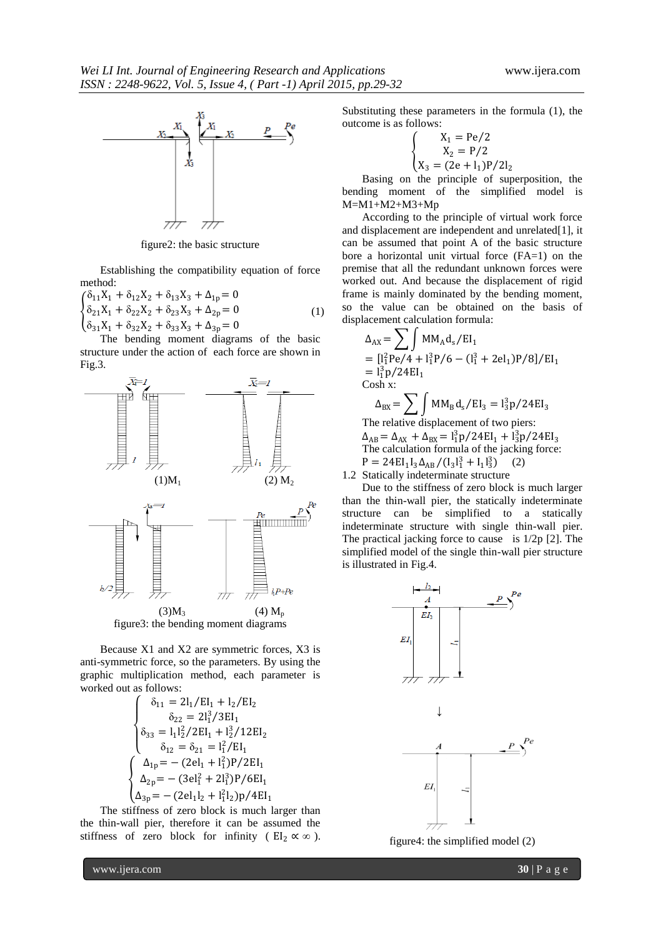

figure2: the basic structure

Establishing the compatibility equation of force method:

 $\{\delta_{21}X_1 + \delta_{22}X_2 + \delta_{23}X_3 + \Delta_{2p} = 0\}$  $\delta_{11}X_1 + \delta_{12}X_2 + \delta_{13}X_3 + \Delta_{1p} = 0$  $\delta_{31}X_1 + \delta_{32}X_2 + \delta_{33}X_3 + \Delta_{3p} = 0$ (1)

The [bending](http://cn.bing.com/dict/clientsearch?mkt=zh-CN&setLang=zh&form=BDVEHC&ClientVer=BDDTV3.5.0.4311&q=%E5%BC%AF%E7%9F%A9%E5%9B%BE) [moment](http://cn.bing.com/dict/clientsearch?mkt=zh-CN&setLang=zh&form=BDVEHC&ClientVer=BDDTV3.5.0.4311&q=%E5%BC%AF%E7%9F%A9%E5%9B%BE) [diagrams](http://cn.bing.com/dict/clientsearch?mkt=zh-CN&setLang=zh&form=BDVEHC&ClientVer=BDDTV3.5.0.4311&q=%E5%BC%AF%E7%9F%A9%E5%9B%BE) of the basic structure under the action of each force are shown in Fig.3.



Because X1 and X2 are symmetric forces, X3 is anti-symmetric force, so the parameters. By using the graphic multiplication method, each parameter is worked out as follows:

$$
\begin{cases}\n\delta_{11} = 2l_1/EI_1 + l_2/EI_2 \\
\delta_{22} = 2l_1^3/3EI_1 \\
\delta_{33} = l_1l_2^2/2EI_1 + l_2^3/12EI_2 \\
\delta_{12} = \delta_{21} = l_1^2/EI_1 \\
\Delta_{1p} = -(2el_1 + l_1^2)P/2EI_1 \\
\Delta_{2p} = -(3el_1^2 + 2l_1^3)P/6EI_1 \\
\Delta_{3p} = -(2el_1l_2 + l_1^2l_2)p/4EI_1\n\end{cases}
$$

The stiffness of zero block is much larger than the thin-wall pier, therefore it can be assumed the stiffness of zero block for infinity (  $EI_2 \propto \infty$  ). Substituting these parameters [in](http://cn.bing.com/dict/clientsearch?mkt=zh-CN&setLang=zh&form=BDVEHC&ClientVer=BDDTV3.5.0.4311&q=%E4%BB%A3%E5%85%A5%E5%85%AC%E5%BC%8F%E4%B8%AD) the [formula](http://cn.bing.com/dict/clientsearch?mkt=zh-CN&setLang=zh&form=BDVEHC&ClientVer=BDDTV3.5.0.4311&q=%E4%BB%A3%E5%85%A5%E5%85%AC%E5%BC%8F%E4%B8%AD) (1), the [outcome](http://cn.bing.com/dict/clientsearch?mkt=zh-CN&setLang=zh&form=BDVEHC&ClientVer=BDDTV3.5.0.4311&q=%E4%BB%A3%E5%85%A5%E5%85%AC%E5%BC%8F%E4%B8%AD) is as [follows:](http://cn.bing.com/dict/clientsearch?mkt=zh-CN&setLang=zh&form=BDVEHC&ClientVer=BDDTV3.5.0.4311&q=%E4%BB%A3%E5%85%A5%E5%85%AC%E5%BC%8F%E4%B8%AD)

$$
\begin{cases}\nX_1 = Pe/2 \\
X_2 = P/2 \\
X_3 = (2e + l_1)P/2l_2\n\end{cases}
$$

Basing on the principle of superposition, the [bending](http://cn.bing.com/dict/clientsearch?mkt=zh-CN&setLang=zh&form=BDVEHC&ClientVer=BDDTV3.5.0.4311&q=%E5%BC%AF%E7%9F%A9) [moment](http://cn.bing.com/dict/clientsearch?mkt=zh-CN&setLang=zh&form=BDVEHC&ClientVer=BDDTV3.5.0.4311&q=%E5%BC%AF%E7%9F%A9) of the [simplified](http://cn.bing.com/dict/clientsearch?mkt=zh-CN&setLang=zh&form=BDVEHC&ClientVer=BDDTV3.5.0.4311&q=%E7%AE%80%E5%8C%96%E6%A8%A1%E5%9E%8B) [model](http://cn.bing.com/dict/clientsearch?mkt=zh-CN&setLang=zh&form=BDVEHC&ClientVer=BDDTV3.5.0.4311&q=%E7%AE%80%E5%8C%96%E6%A8%A1%E5%9E%8B) is M=M1+M2+M3+Mp

According to the principle of virtual work force and displacement are independent and unrelated[1], it can be assumed that point A of the basic structure bore a horizontal unit virtual force (FA=1) on the premise that all the redundant unknown forces were worked out. And because the displacement of [rigid](http://cn.bing.com/dict/clientsearch?mkt=zh-CN&setLang=zh&form=BDVEHC&ClientVer=BDDTV3.5.0.4311&q=%E5%88%9A%E6%9E%B6) [frame](http://cn.bing.com/dict/clientsearch?mkt=zh-CN&setLang=zh&form=BDVEHC&ClientVer=BDDTV3.5.0.4311&q=%E5%88%9A%E6%9E%B6) is mainly dominated by the bending moment, so the [value](http://cn.bing.com/dict/clientsearch?mkt=zh-CN&setLang=zh&form=BDVEHC&ClientVer=BDDTV3.5.0.4311&q=%E4%BD%8D%E7%A7%BB%E5%80%BC) can be obtained on the basis of [displacement](http://cn.bing.com/dict/clientsearch?mkt=zh-CN&setLang=zh&form=BDVEHC&ClientVer=BDDTV3.5.0.4311&q=%E7%BB%93%E6%9E%84%E4%BD%8D%E7%A7%BB%E8%AE%A1%E7%AE%97%E5%85%AC%E5%BC%8F) [calculation](http://cn.bing.com/dict/clientsearch?mkt=zh-CN&setLang=zh&form=BDVEHC&ClientVer=BDDTV3.5.0.4311&q=%E7%BB%93%E6%9E%84%E4%BD%8D%E7%A7%BB%E8%AE%A1%E7%AE%97%E5%85%AC%E5%BC%8F) [formula:](http://cn.bing.com/dict/clientsearch?mkt=zh-CN&setLang=zh&form=BDVEHC&ClientVer=BDDTV3.5.0.4311&q=%E7%BB%93%E6%9E%84%E4%BD%8D%E7%A7%BB%E8%AE%A1%E7%AE%97%E5%85%AC%E5%BC%8F)

$$
\Delta_{AX} = \sum \int M M_A d_s / EI_1
$$
  
=  $[l_1^2 Pe/4 + l_1^3 P/6 - (l_1^3 + 2el_1)P/8]/EI_1$   
=  $l_1^3 p/24EI_1$   
Cosh x:  

$$
\Delta_{BX} = \sum \int M M_B d_s / EI_3 = l_3^3 p/24EI_3
$$
The relative displacement of two piers:  

$$
\Delta_{AB} = \Delta_{AX} + \Delta_{BX} = l_1^3 p/24EI_1 + l_3^3 p/24EI_3
$$

The calculation formula of the jacking force:  $P = 24EI_1I_3\Delta_{AB}/(I_3I_1^3 + I_1I_3^3)$  (2)

1.2 Statically indeterminate structure

Due to the stiffness of zero block is much larger than the thin-wall pier, the statically indeterminate structure can be simplified to a statically indeterminate structure with single thin-wall pier. The practical jacking force to cause is 1/2p [2]. The simplified model of the single thin-wall pier structure is illustrated in Fig.4.



figure4: the simplified model (2)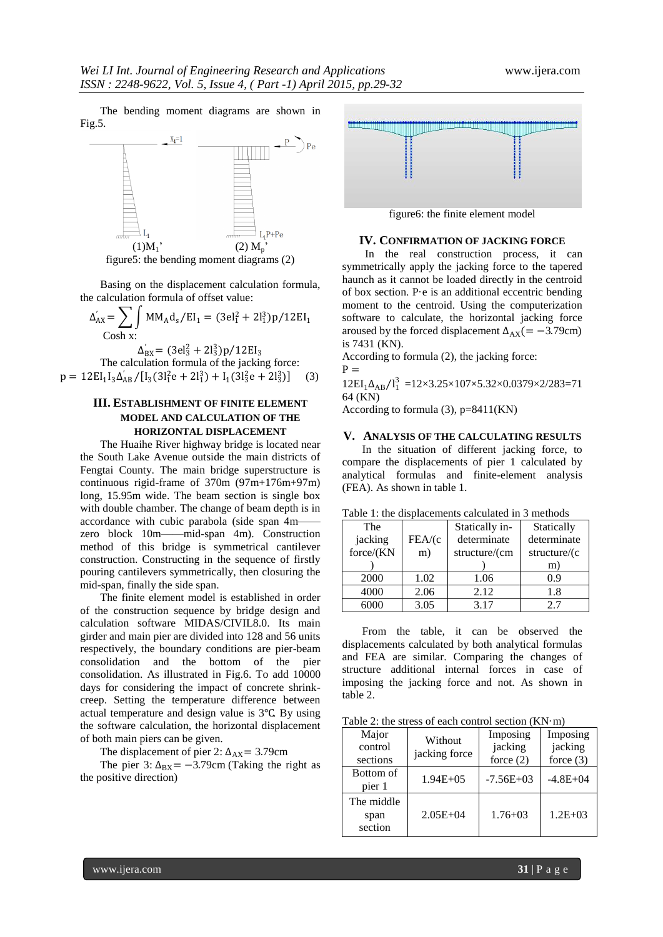The bending moment diagrams are shown in Fig.5.



Basing on the displacement calculation formula, the calculation formula of offset value:

$$
\Delta'_{AX} = \sum_{\text{Cosh } X} \int M M_A d_s / EI_1 = (3el_1^2 + 2l_1^3)p/12EI_1
$$

 $\Delta_{\text{BX}}^{'} = (3el_3^2 + 2l_3^3)p/12El_3$ The calculation formula of the jacking force:  $p = 12EI_1I_3\Delta'_{AB}/[I_3(3I_1^2e + 2I_1^3) + I_1(3I_3^2e + 2I_3^3)]$  (3)

#### **III. ESTABLISHMENT OF FINITE ELEMENT MODEL AND CALCULATION OF THE HORIZONTAL DISPLACEMENT**

The Huaihe River highway bridge is located near the South Lake Avenue outside the main districts of Fengtai County. The main bridge superstructure is continuous rigid-frame of 370m (97m+176m+97m) long, 15.95m wide. The beam section is single box with double chamber. The change of beam depth is in accordance with cubic parabola (side span 4mzero block 10m——mid-span 4m). Construction method of this bridge is symmetrical cantilever construction. Constructing in the sequence of firstly pouring cantilevers symmetrically, then closuring the mid-span, finally the side span.

The finite element model is established in order of the construction sequence by bridge design and calculation software MIDAS/CIVIL8.0. Its main girder and main pier are divided into 128 and 56 units respectively, the boundary conditions are pier-beam consolidation and the bottom of the pier consolidation. As illustrated in Fig.6. To add 10000 days for considering the impact of concrete shrinkcreep. Setting the temperature difference between actual temperature and design value is 3℃. By using the software calculation, the horizontal displacement of both main piers can be given.

The displacement of pier 2:  $\Delta_{AX}$  = 3.79cm

The pier 3:  $\Delta_{\text{BX}} = -3.79 \text{cm}$  (Taking the right as the positive direction)



figure6: the finite element model

#### **IV. CONFIRMATION OF JACKING FORCE**

In the real construction process, it can symmetrically apply the jacking force to the tapered haunch as it cannot be loaded directly in the centroid of box section. P·e is an additional eccentric bending moment to the centroid. Using the computerization software to calculate, the horizontal jacking force aroused by the forced displacement  $\Delta_{AX}$ (= −3.79cm) is 7431 (KN).

According to formula (2), the jacking force:

$$
12EI_1\Delta_{AB}/I_1^3 = 12 \times 3.25 \times 107 \times 5.32 \times 0.0379 \times 2/283 = 71
$$
  
64 (KN)

According to formula  $(3)$ ,  $p=8411(KN)$ 

 $P =$ 

#### **V. ANALYSIS OF THE CALCULATING RESULTS**

In the situation of different jacking force, to compare the displacements of pier 1 calculated by analytical formulas and finite-element analysis (FEA). As shown in table 1.

| racio r. ano angguaechiento caleanaca in o methodo |        |                |              |  |  |
|----------------------------------------------------|--------|----------------|--------------|--|--|
| The                                                |        | Statically in- | Statically   |  |  |
| jacking                                            | FEA/(c | determinate    | determinate  |  |  |
| force/(KN                                          | m)     | structure/(cm  | structure/(c |  |  |
|                                                    |        |                | m)           |  |  |
| 2000                                               | 1.02   | 1.06           | 0.9          |  |  |
| 4000                                               | 2.06   | 2.12           | 1.8          |  |  |
| 6000                                               | 3.05   | 3.17           | 2.7          |  |  |

Table 1: the displacements calculated in 3 methods

From the table, it can be observed the displacements calculated by both analytical formulas and FEA are similar. Comparing the changes of structure additional internal forces in case of imposing the jacking force and not. As shown in table 2.

Table 2: the stress of each control section  $(KN \cdot m)$ 

| Major<br>control<br>sections  | Without<br>jacking force | Imposing<br>jacking<br>force $(2)$ | Imposing<br>jacking<br>force $(3)$ |
|-------------------------------|--------------------------|------------------------------------|------------------------------------|
| Bottom of<br>pier 1           | $1.94E + 05$             | $-7.56E + 03$                      | $-4.8E + 04$                       |
| The middle<br>span<br>section | $2.05E + 04$             | $1.76 + 03$                        | $1.2E + 0.3$                       |